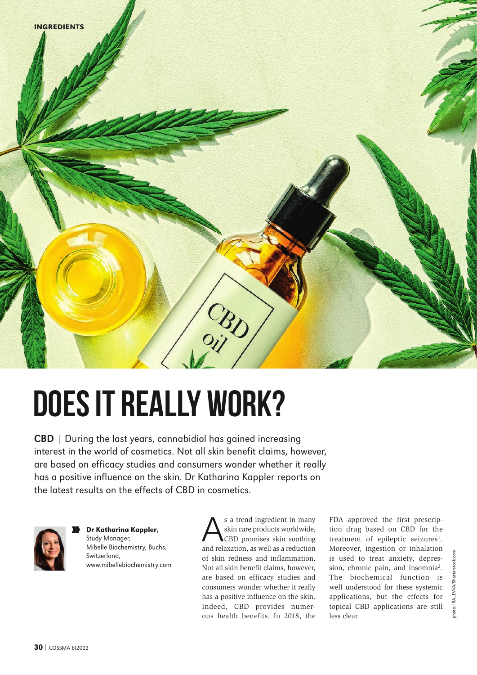

## **Does it really work?**

CBD | During the last years, cannabidiol has gained increasing interest in the world of cosmetics. Not all skin benefit claims, however, are based on efficacy studies and consumers wonder whether it really has a positive influence on the skin. Dr Katharina Kappler reports on the latest results on the effects of CBD in cosmetics.



Dr Katharina Kappler, Study Manager, Mibelle Biochemistry, Buchs, Switzerland, www.mibellebiochemistry.com N N

S a trend ingredient in many<br>
Skin care products worldwide,<br>
CBD promises skin soothing<br>
and relayation<br>
as well as a reduction skin care products worldwide, and relaxation, as well as a reduction of skin redness and inflammation. Not all skin benefit claims, however, are based on efficacy studies and consumers wonder whether it really has a positive influence on the skin. Indeed, CBD provides numerous health benefits. In 2018, the FDA approved the first prescription drug based on CBD for the treatment of epileptic seizures<sup>1</sup>. Moreover, ingestion or inhalation is used to treat anxiety, depression, chronic pain, and insomnia2. The biochemical function is well understood for these systemic applications, but the effects for topical CBD applications are still less clear.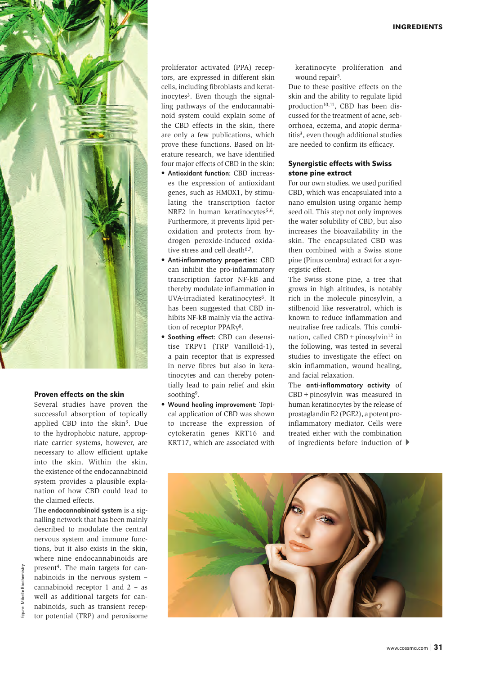

## Proven effects on the skin

Several studies have proven the successful absorption of topically applied CBD into the skin<sup>3</sup>. Due to the hydrophobic nature, appropriate carrier systems, however, are necessary to allow efficient uptake into the skin. Within the skin, the existence of the endocannabinoid system provides a plausible explanation of how CBD could lead to the claimed effects.

The endocannabinoid system is a signalling network that has been mainly described to modulate the central nervous system and immune functions, but it also exists in the skin, where nine endocannabinoids are present4. The main targets for cannabinoids in the nervous system – cannabinoid receptor 1 and 2 – as well as additional targets for cannabinoids, such as transient receptor potential (TRP) and peroxisome

proliferator activated (PPA) receptors, are expressed in different skin cells, including fibroblasts and keratinocytes<sup>3</sup>. Even though the signalling pathways of the endocannabinoid system could explain some of the CBD effects in the skin, there are only a few publications, which prove these functions. Based on literature research, we have identified four major effects of CBD in the skin:

- Antioxidant function: CBD increases the expression of antioxidant genes, such as HMOX1, by stimulating the transcription factor NRF2 in human keratinocytes<sup>5,6</sup>. Furthermore, it prevents lipid peroxidation and protects from hydrogen peroxide-induced oxidative stress and cell death<sup>6,7</sup>.
- Anti-inflammatory properties: CBD can inhibit the pro-inflammatory transcription factor NF-kB and thereby modulate inflammation in UVA-irradiated keratinocytes<sup>6</sup>. It has been suggested that CBD inhibits NF-kB mainly via the activation of receptor PPARγ<sup>8</sup>.
- Soothing effect: CBD can desensitise TRPV1 (TRP Vanilloid-1), a pain receptor that is expressed in nerve fibres but also in keratinocytes and can thereby potentially lead to pain relief and skin soothing9.
- Wound healing improvement: Topical application of CBD was shown to increase the expression of cytokeratin genes KRT16 and KRT17, which are associated with

keratinocyte proliferation and wound repair<sup>5</sup>.

Due to these positive effects on the skin and the ability to regulate lipid production<sup>10,11</sup>, CBD has been discussed for the treatment of acne, seborrhoea, eczema, and atopic dermatitis<sup>3</sup>, even though additional studies are needed to confirm its efficacy.

## Synergistic effects with Swiss stone pine extract

For our own studies, we used purified CBD, which was encapsulated into a nano emulsion using organic hemp seed oil. This step not only improves the water solubility of CBD, but also increases the bioavailability in the skin. The encapsulated CBD was then combined with a Swiss stone pine (Pinus cembra) extract for a synergistic effect.

The Swiss stone pine, a tree that grows in high altitudes, is notably rich in the molecule pinosylvin, a stilbenoid like resveratrol, which is known to reduce inflammation and neutralise free radicals. This combination, called  $CBD + pinosylvin<sup>12</sup>$  in the following, was tested in several studies to investigate the effect on skin inflammation, wound healing, and facial relaxation.

The anti-inflammatory activity of CBD+pinosylvin was measured in human keratinocytes by the release of prostaglandin E2 (PGE2), a potent proinflammatory mediator. Cells were treated either with the combination of ingredients before induction of

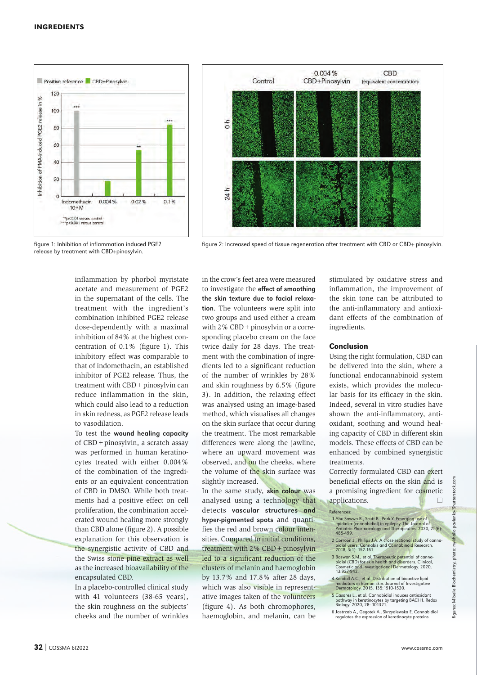



release by treatment with CBD+pinosylvin.

figure 1: Inhibition of inflammation induced PGE2 figure 2: Increased speed of tissue regeneration after treatment with CBD or CBD+ pinosylvin.

inflammation by phorbol myristate acetate and measurement of PGE2 in the supernatant of the cells. The treatment with the ingredient's combination inhibited PGE2 release dose-dependently with a maximal inhibition of 84% at the highest concentration of 0.1% (figure 1). This inhibitory effect was comparable to that of indomethacin, an established inhibitor of PGE2 release. Thus, the treatment with CBD + pinosylvin can reduce inflammation in the skin, which could also lead to a reduction in skin redness, as PGE2 release leads to vasodilation.

To test the wound healing capacity of CBD+pinosylvin, a scratch assay was performed in human keratinocytes treated with either 0.004% of the combination of the ingredients or an equivalent concentration of CBD in DMSO. While both treatments had a positive effect on cell proliferation, the combination accelerated wound healing more strongly than CBD alone (figure 2). A possible explanation for this observation is the synergistic activity of CBD and the Swiss stone pine extract as well as the increased bioavailability of the encapsulated CBD.

In a placebo-controlled clinical study with 41 volunteers (38-65 years), the skin roughness on the subjects' cheeks and the number of wrinkles in the crow's feet area were measured to investigate the effect of smoothing the skin texture due to facial relaxation. The volunteers were split into two groups and used either a cream with 2% CBD + pinosylvin or a corresponding placebo cream on the face twice daily for 28 days. The treatment with the combination of ingredients led to a significant reduction of the number of wrinkles by 28% and skin roughness by 6.5% (figure 3). In addition, the relaxing effect was analysed using an image-based method, which visualises all changes on the skin surface that occur during the treatment. The most remarkable differences were along the jawline, where an upward movement was observed, and on the cheeks, where the volume of the skin surface was slightly increased.

In the same study, skin colour was analysed using a technology that detects vascular structures and hyper-pigmented spots and quantifies the red and brown colour intensities. Compared to initial conditions, treatment with 2% CBD + pinosylvin led to a significant reduction of the clusters of melanin and haemoglobin by 13.7% and 17.8% after 28 days, which was also visible in representative images taken of the volunteers (figure 4). As both chromophores, haemoglobin, and melanin, can be

stimulated by oxidative stress and inflammation, the improvement of the skin tone can be attributed to the anti-inflammatory and antioxidant effects of the combination of ingredients.

## Conclusion

Using the right formulation, CBD can be delivered into the skin, where a functional endocannabinoid system exists, which provides the molecular basis for its efficacy in the skin. Indeed, several in vitro studies have shown the anti-inflammatory, antioxidant, soothing and wound healing capacity of CBD in different skin models. These effects of CBD can be enhanced by combined synergistic treatments.

Correctly formulated CBD can exert beneficial effects on the skin and is a promising ingredient for cosmetic applications.  $\Box$ 

**References** 

- 1 Abu-Sawwa R., Scutt B., Park Y. Emerging use of epidiolex (cannabidiol) in epilepsy. The Journal of Pediatric Pharmacology and Therapeutics. 2020, 25(6): 485-499.
- 2 Corroon J., Philips J.A. A cross-sectional study of cannabidiol users. Cannabis and Cannabinoi<mark>d</mark> Research.<br>2018, 3(1): 152-161.
- 3 Baswan S.M., et al. Therapeutic potential of canna-bidiol (CBD) for skin health and disorders. Clinical, Cosmetic and Investigational Dermatology. 2020, 13:927-942.
- 4 Kendall A.C., et al. Distribution of bioactive lipid mediators in human skin. Journal of Investigative<br>Dermatology. 2015, 135:1510-1520.
- <sup>5</sup> Casares L., et al. Cannabidiol induces antioxidant pathway in keratinocytes by targeting BACH1. Redox Biology. 2020, 28: 101321.
- 6 Jastrzab A., Gegotek A., Skrzydlewska E. Cannabidiol regulates the expression of keratinocyte proteins